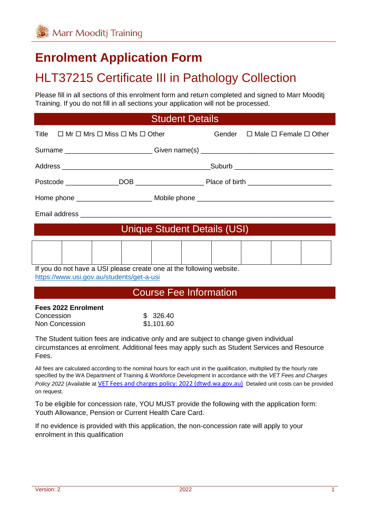# **Enrolment Application Form**

# HLT37215 Certificate III in Pathology Collection

Please fill in all sections of this enrolment form and return completed and signed to Marr Mooditj Training. If you do not fill in all sections your application will not be processed.

#### Student Details

| Title $\Box$ Mr $\Box$ Mrs $\Box$ Miss $\Box$ Ms $\Box$ Other |                                                                                  |  |  | Gender $\Box$ Male $\Box$ Female $\Box$ Other |  |
|---------------------------------------------------------------|----------------------------------------------------------------------------------|--|--|-----------------------------------------------|--|
|                                                               | Surname ___________________________Given name(s) _______________________________ |  |  |                                               |  |
|                                                               |                                                                                  |  |  |                                               |  |
|                                                               |                                                                                  |  |  |                                               |  |
|                                                               |                                                                                  |  |  |                                               |  |
|                                                               |                                                                                  |  |  |                                               |  |
| Unique Student Details (USI)                                  |                                                                                  |  |  |                                               |  |
|                                                               |                                                                                  |  |  |                                               |  |
|                                                               | If you do not have a USI please create one at the following website.             |  |  |                                               |  |

<https://www.usi.gov.au/students/get-a-usi>

#### Course Fee Information

# **Fees 2022 Enrolment**

| Concession     | \$326.40   |
|----------------|------------|
| Non Concession | \$1,101.60 |

The Student tuition fees are indicative only and are subject to change given individual circumstances at enrolment. Additional fees may apply such as Student Services and Resource Fees.

All fees are calculated according to the nominal hours for each unit in the qualification, multiplied by the hourly rate specified by the WA Department of Training & Workforce Development in accordance with the *VET Fees and Charges Policy 2022* (Available at [VET Fees and charges policy: 2022 \(dtwd.wa.gov.au\)](https://www.dtwd.wa.gov.au/sites/default/files/uploads/dtwd-vet-fees-and-charges-2022-v1.0.pdf) Detailed unit costs can be provided on request.

To be eligible for concession rate, YOU MUST provide the following with the application form: Youth Allowance, Pension or Current Health Care Card.

If no evidence is provided with this application, the non-concession rate will apply to your enrolment in this qualification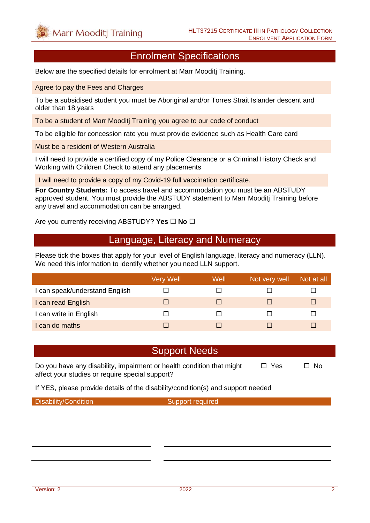# Enrolment Specifications

Below are the specified details for enrolment at Marr Mooditj Training.

Agree to pay the Fees and Charges

To be a subsidised student you must be Aboriginal and/or Torres Strait Islander descent and older than 18 years

To be a student of Marr Mooditj Training you agree to our code of conduct

To be eligible for concession rate you must provide evidence such as Health Care card

Must be a resident of Western Australia

I will need to provide a certified copy of my Police Clearance or a Criminal History Check and Working with Children Check to attend any placements

I will need to provide a copy of my Covid-19 full vaccination certificate.

**For Country Students:** To access travel and accommodation you must be an ABSTUDY approved student. You must provide the ABSTUDY statement to Marr Mooditj Training before any travel and accommodation can be arranged.

Are you currently receiving ABSTUDY? Yes  $\Box$  No  $\Box$ 

#### Language, Literacy and Numeracy

Please tick the boxes that apply for your level of English language, literacy and numeracy (LLN). We need this information to identify whether you need LLN support.

|                                | Very Well | Well | Not very well | Not at all |
|--------------------------------|-----------|------|---------------|------------|
| I can speak/understand English |           |      |               |            |
| I can read English             |           |      |               | ш          |
| I can write in English         |           |      |               |            |
| can do maths                   |           |      |               |            |

#### Support Needs

Do you have any disability, impairment or health condition that might  $\Box$  Yes  $\Box$  No affect your studies or require special support?

If YES, please provide details of the disability/condition(s) and support needed

Disability/Condition Support required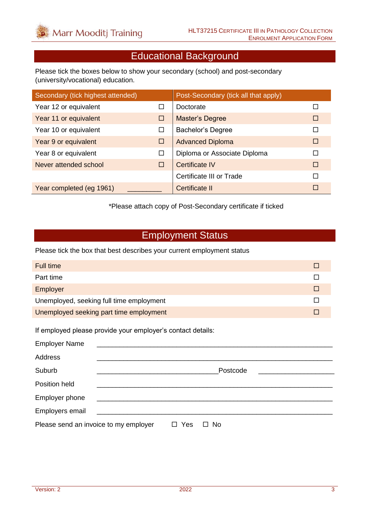## Educational Background

Please tick the boxes below to show your secondary (school) and post-secondary (university/vocational) education.

| Secondary (tick highest attended) |        | Post-Secondary (tick all that apply) |   |
|-----------------------------------|--------|--------------------------------------|---|
| Year 12 or equivalent             | П      | Doctorate                            |   |
| Year 11 or equivalent             | □      | <b>Master's Degree</b>               | П |
| Year 10 or equivalent             | □      | <b>Bachelor's Degree</b>             | П |
| Year 9 or equivalent              | □      | <b>Advanced Diploma</b>              | □ |
| Year 8 or equivalent              | $\Box$ | Diploma or Associate Diploma         | П |
| Never attended school             | $\Box$ | <b>Certificate IV</b>                | П |
|                                   |        | Certificate III or Trade             | П |
| Year completed (eg 1961)          |        | Certificate II                       | П |

\*Please attach copy of Post-Secondary certificate if ticked

### Employment Status

Please tick the box that best describes your current employment status

| Full time                                |  |
|------------------------------------------|--|
| Part time                                |  |
| Employer                                 |  |
| Unemployed, seeking full time employment |  |
| Unemployed seeking part time employment  |  |

If employed please provide your employer's contact details:

| <b>Employer Name</b>                  |                                                    |               |           |
|---------------------------------------|----------------------------------------------------|---------------|-----------|
| Address                               |                                                    |               |           |
| Suburb                                |                                                    |               | Postcode  |
| Position held                         |                                                    |               |           |
| Employer phone                        | <u> 1989 - John Stein, Amerikaansk politiker (</u> |               |           |
| Employers email                       | <u> 1980 - Jan Samuel Barbara, martin d</u>        |               |           |
| Please send an invoice to my employer |                                                    | Yes<br>$\Box$ | $\Box$ No |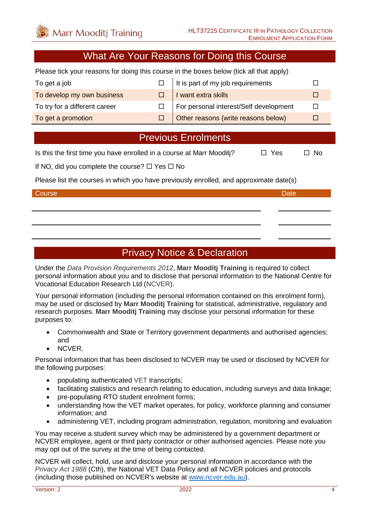### What Are Your Reasons for Doing this Course

Please tick your reasons for doing this course in the boxes below (tick all that apply)

| To get a job                  | $\Box$ It is part of my job requirements |  |
|-------------------------------|------------------------------------------|--|
| To develop my own business    | I want extra skills                      |  |
| To try for a different career | For personal interest/Self development   |  |
| To get a promotion            | Other reasons (write reasons below)      |  |

### Previous Enrolments

Is this the first time you have enrolled in a course at Marr Mooditi?  $\Box$  Yes  $\Box$  No

If NO, did you complete the course?  $\Box$  Yes  $\Box$  No

Please list the courses in which you have previously enrolled, and approximate date(s)

#### Course **Date** Date of the Course of the Course of the Course of the Course of the Date

### Privacy Notice & Declaration

Under the *Data Provision Requirements 2012*, **Marr Mooditj Training** is required to collect personal information about you and to disclose that personal information to the National Centre for Vocational Education Research Ltd (NCVER).

Your personal information (including the personal information contained on this enrolment form), may be used or disclosed by **Marr Mooditj Training** for statistical, administrative, regulatory and research purposes. **Marr Mooditj Training** may disclose your personal information for these purposes to:

- Commonwealth and State or Territory government departments and authorised agencies; and
- NCVER.

Personal information that has been disclosed to NCVER may be used or disclosed by NCVER for the following purposes:

- populating authenticated VET transcripts;
- facilitating statistics and research relating to education, including surveys and data linkage;
- pre-populating RTO student enrolment forms:
- understanding how the VET market operates, for policy, workforce planning and consumer information; and
- administering VET, including program administration, regulation, monitoring and evaluation

You may receive a student survey which may be administered by a government department or NCVER employee, agent or third party contractor or other authorised agencies. Please note you may opt out of the survey at the time of being contacted.

NCVER will collect, hold, use and disclose your personal information in accordance with the *Privacy Act 1988* (Cth), the National VET Data Policy and all NCVER policies and protocols (including those published on NCVER's website at [www.ncver.edu.au\)](http://www.ncver.edu.au/).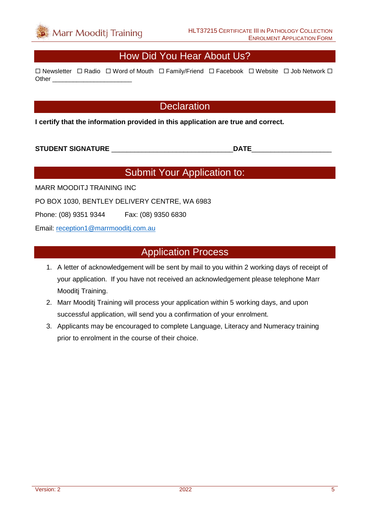

### How Did You Hear About Us?

 $\Box$  Newsletter  $\Box$  Radio  $\Box$  Word of Mouth  $\Box$  Family/Friend  $\Box$  Facebook  $\Box$  Website  $\Box$  Job Network  $\Box$ Other \_\_\_\_\_\_\_\_\_\_\_\_\_\_\_\_\_\_\_\_\_\_\_

#### **Declaration**

**I certify that the information provided in this application are true and correct.**

**STUDENT SIGNATURE** \_\_\_\_\_\_\_\_\_\_\_\_\_\_\_\_\_\_\_\_\_\_\_\_\_\_\_\_\_\_\_\_**DATE**\_\_\_\_\_\_\_\_\_\_\_\_\_\_\_\_\_\_\_\_\_

## Submit Your Application to:

MARR MOODITJ TRAINING INC

PO BOX 1030, BENTLEY DELIVERY CENTRE, WA 6983

Phone: (08) 9351 9344 Fax: (08) 9350 6830

Email: [reception1@marrmooditj.com.au](mailto:reception1@marrmooditj.com.au)

#### Application Process

- 1. A letter of acknowledgement will be sent by mail to you within 2 working days of receipt of your application. If you have not received an acknowledgement please telephone Marr Mooditj Training.
- 2. Marr Mooditj Training will process your application within 5 working days, and upon successful application, will send you a confirmation of your enrolment.
- 3. Applicants may be encouraged to complete Language, Literacy and Numeracy training prior to enrolment in the course of their choice.